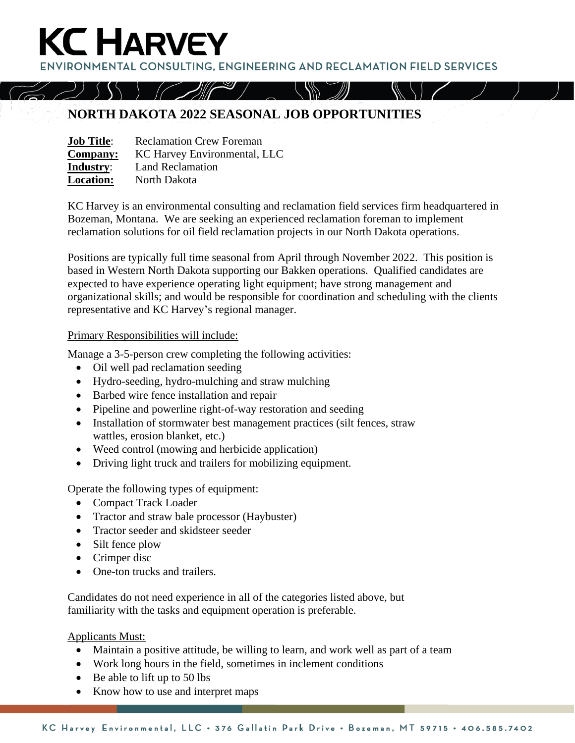**ENVIRONMENTAL CONSULTING. ENGINEERING AND RECLAMATION FIELD SERVICES** 

## **NORTH DAKOTA 2022 SEASONAL JOB OPPORTUNITIES**

| <b>Job Title:</b> | <b>Reclamation Crew Foreman</b> |
|-------------------|---------------------------------|
| <b>Company:</b>   | KC Harvey Environmental, LLC    |
| Industry:         | <b>Land Reclamation</b>         |
| <b>Location:</b>  | North Dakota                    |

**KC HARVEY** 

KC Harvey is an environmental consulting and reclamation field services firm headquartered in Bozeman, Montana. We are seeking an experienced reclamation foreman to implement reclamation solutions for oil field reclamation projects in our North Dakota operations.

Positions are typically full time seasonal from April through November 2022. This position is based in Western North Dakota supporting our Bakken operations. Qualified candidates are expected to have experience operating light equipment; have strong management and organizational skills; and would be responsible for coordination and scheduling with the clients representative and KC Harvey's regional manager.

## Primary Responsibilities will include:

Manage a 3-5-person crew completing the following activities:

- Oil well pad reclamation seeding
- Hydro-seeding, hydro-mulching and straw mulching
- Barbed wire fence installation and repair
- Pipeline and powerline right-of-way restoration and seeding
- Installation of stormwater best management practices (silt fences, straw wattles, erosion blanket, etc.)
- Weed control (mowing and herbicide application)
- Driving light truck and trailers for mobilizing equipment.

Operate the following types of equipment:

- Compact Track Loader
- Tractor and straw bale processor (Haybuster)
- Tractor seeder and skidsteer seeder
- Silt fence plow
- Crimper disc
- One-ton trucks and trailers.

Candidates do not need experience in all of the categories listed above, but familiarity with the tasks and equipment operation is preferable.

Applicants Must:

- Maintain a positive attitude, be willing to learn, and work well as part of a team
- Work long hours in the field, sometimes in inclement conditions
- Be able to lift up to 50 lbs
- Know how to use and interpret maps